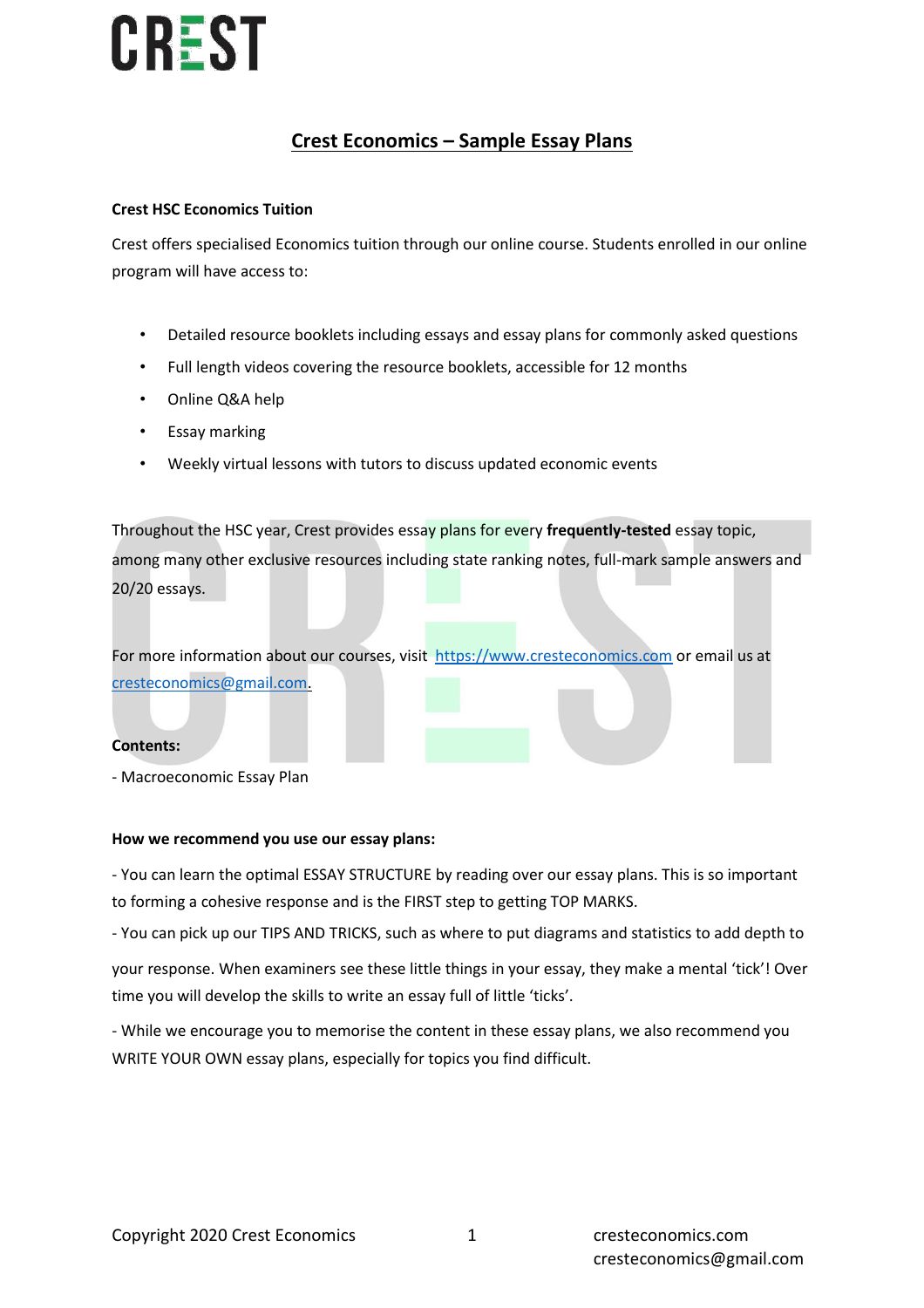### **Crest Economics – Sample Essay Plans**

### **Crest HSC Economics Tuition**

Crest offers specialised Economics tuition through our online course. Students enrolled in our online program will have access to:

- Detailed resource booklets including essays and essay plans for commonly asked questions
- Full length videos covering the resource booklets, accessible for 12 months
- Online Q&A help
- Essay marking
- Weekly virtual lessons with tutors to discuss updated economic events

Throughout the HSC year, Crest provides essay plans for every **frequently-tested** essay topic, among many other exclusive resources including state ranking notes, full-mark sample answers and 20/20 essays.

For more information about our courses, visit [https://www.cresteconomics.com](https://www.cresteconomics.com/) or email us at [cresteconomics@gmail.com.](mailto:cresteconomics@gmail.com)

#### **Contents:**

- Macroeconomic Essay Plan

#### **How we recommend you use our essay plans:**

- You can learn the optimal ESSAY STRUCTURE by reading over our essay plans. This is so important to forming a cohesive response and is the FIRST step to getting TOP MARKS.

- You can pick up our TIPS AND TRICKS, such as where to put diagrams and statistics to add depth to

your response. When examiners see these little things in your essay, they make a mental 'tick'! Over time you will develop the skills to write an essay full of little 'ticks'.

- While we encourage you to memorise the content in these essay plans, we also recommend you WRITE YOUR OWN essay plans, especially for topics you find difficult.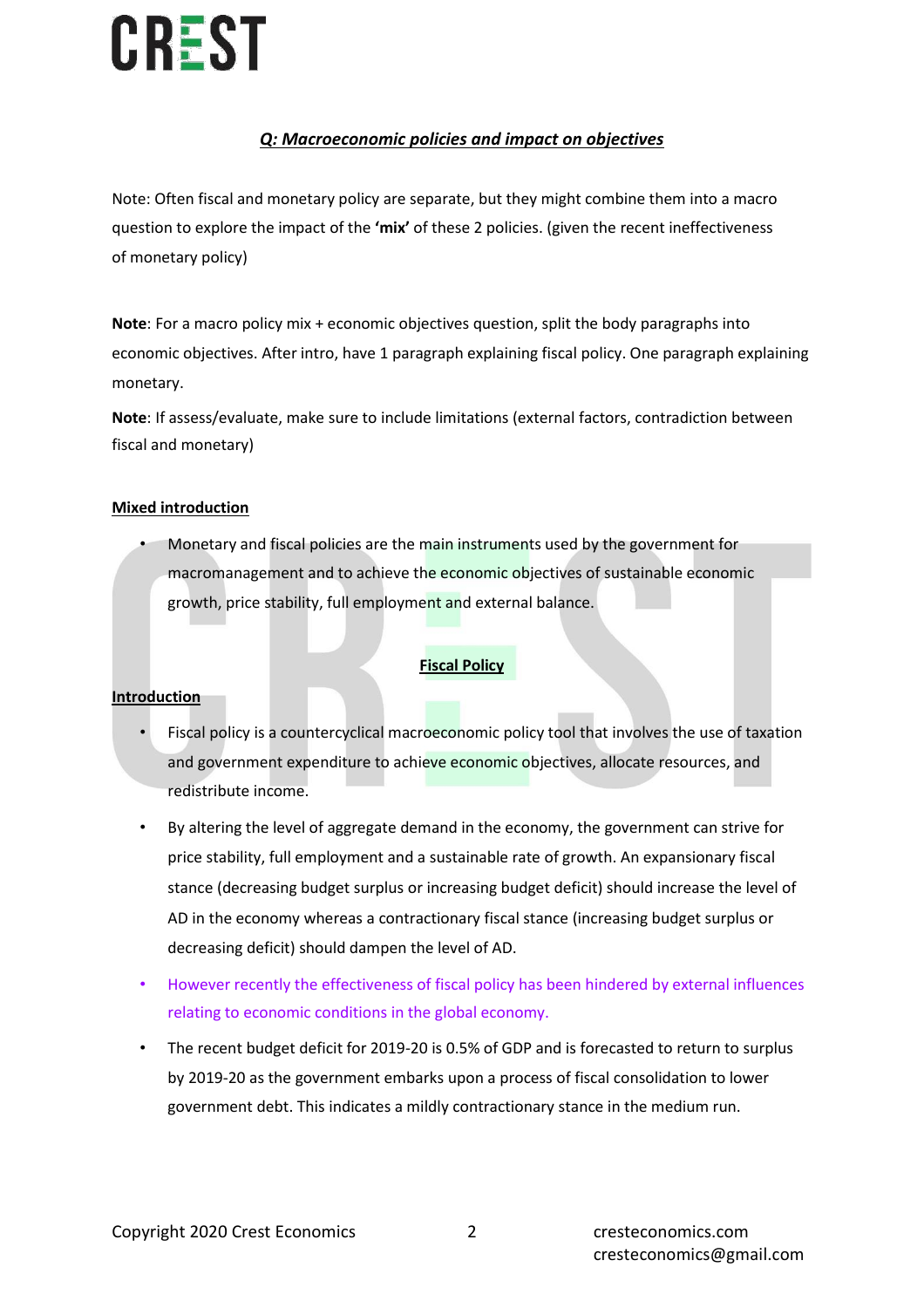### *Q: Macroeconomic policies and impact on objectives*

Note: Often fiscal and monetary policy are separate, but they might combine them into a macro question to explore the impact of the **'mix'** of these 2 policies. (given the recent ineffectiveness of monetary policy)

**Note**: For a macro policy mix + economic objectives question, split the body paragraphs into economic objectives. After intro, have 1 paragraph explaining fiscal policy. One paragraph explaining monetary.

**Note**: If assess/evaluate, make sure to include limitations (external factors, contradiction between fiscal and monetary)

### **Mixed introduction**

• Monetary and fiscal policies are the main instruments used by the government for macromanagement and to achieve the economic objectives of sustainable economic growth, price stability, full employment and external balance.

### **Fiscal Policy**

#### **Introduction**

- Fiscal policy is a countercyclical macroeconomic policy tool that involves the use of taxation and government expenditure to achieve economic objectives, allocate resources, and redistribute income.
- By altering the level of aggregate demand in the economy, the government can strive for price stability, full employment and a sustainable rate of growth. An expansionary fiscal stance (decreasing budget surplus or increasing budget deficit) should increase the level of AD in the economy whereas a contractionary fiscal stance (increasing budget surplus or decreasing deficit) should dampen the level of AD.
- However recently the effectiveness of fiscal policy has been hindered by external influences relating to economic conditions in the global economy.
- The recent budget deficit for 2019-20 is 0.5% of GDP and is forecasted to return to surplus by 2019-20 as the government embarks upon a process of fiscal consolidation to lower government debt. This indicates a mildly contractionary stance in the medium run.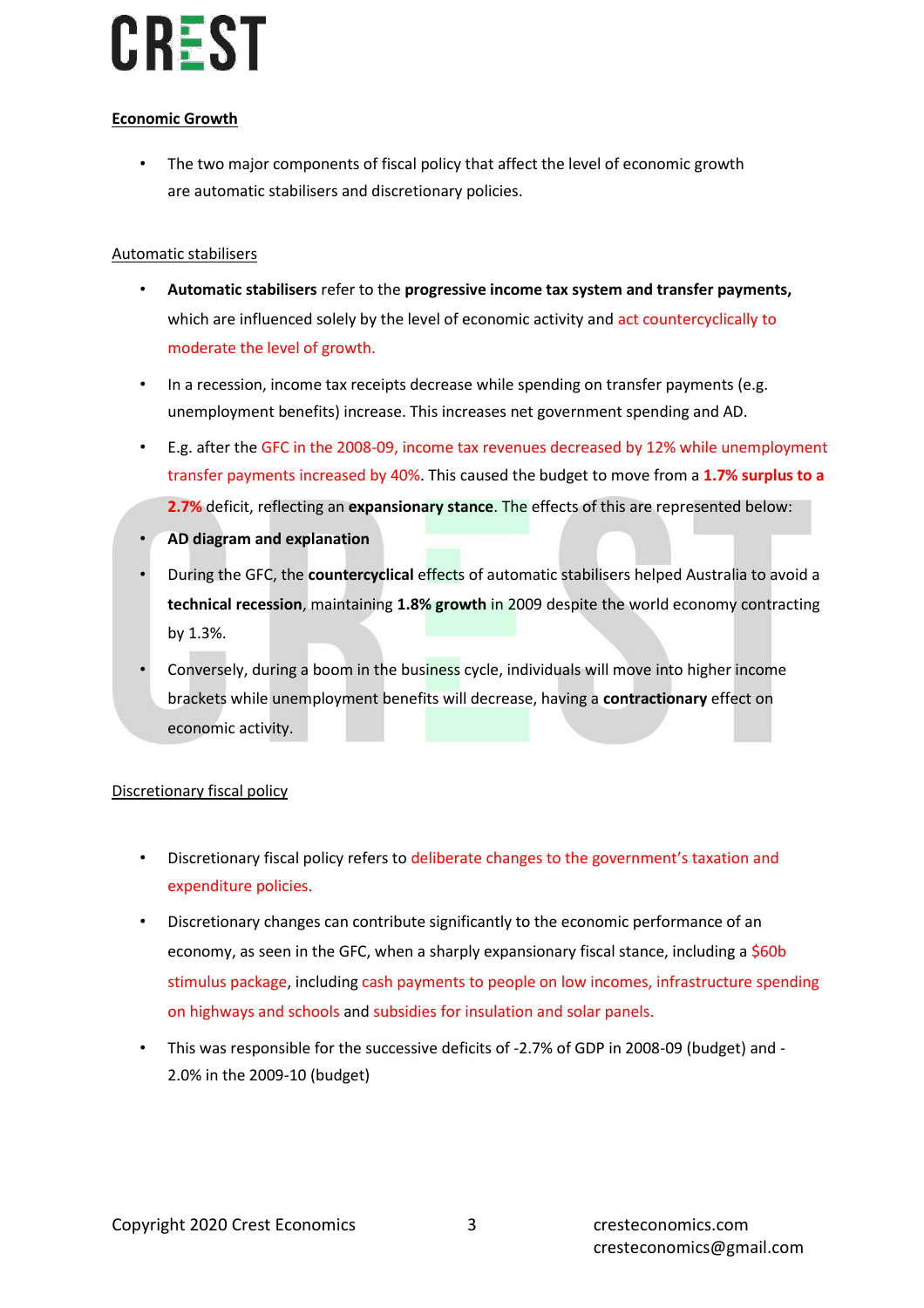### **Economic Growth**

• The two major components of fiscal policy that affect the level of economic growth are automatic stabilisers and discretionary policies.

### Automatic stabilisers

- **Automatic stabilisers** refer to the **progressive income tax system and transfer payments,**  which are influenced solely by the level of economic activity and act countercyclically to moderate the level of growth.
- In a recession, income tax receipts decrease while spending on transfer payments (e.g. unemployment benefits) increase. This increases net government spending and AD.
- E.g. after the GFC in the 2008-09, income tax revenues decreased by 12% while unemployment transfer payments increased by 40%. This caused the budget to move from a **1.7% surplus to a 2.7%** deficit, reflecting an **expansionary stance**. The effects of this are represented below:
- **AD diagram and explanation**
- During the GFC, the **countercyclical** effects of automatic stabilisers helped Australia to avoid a **technical recession**, maintaining **1.8% growth** in 2009 despite the world economy contracting by 1.3%.
- Conversely, during a boom in the business cycle, individuals will move into higher income brackets while unemployment benefits will decrease, having a **contractionary** effect on economic activity.

### Discretionary fiscal policy

- Discretionary fiscal policy refers to deliberate changes to the government's taxation and expenditure policies.
- Discretionary changes can contribute significantly to the economic performance of an economy, as seen in the GFC, when a sharply expansionary fiscal stance, including a \$60b stimulus package, including cash payments to people on low incomes, infrastructure spending on highways and schools and subsidies for insulation and solar panels.
- This was responsible for the successive deficits of -2.7% of GDP in 2008-09 (budget) and 2.0% in the 2009-10 (budget)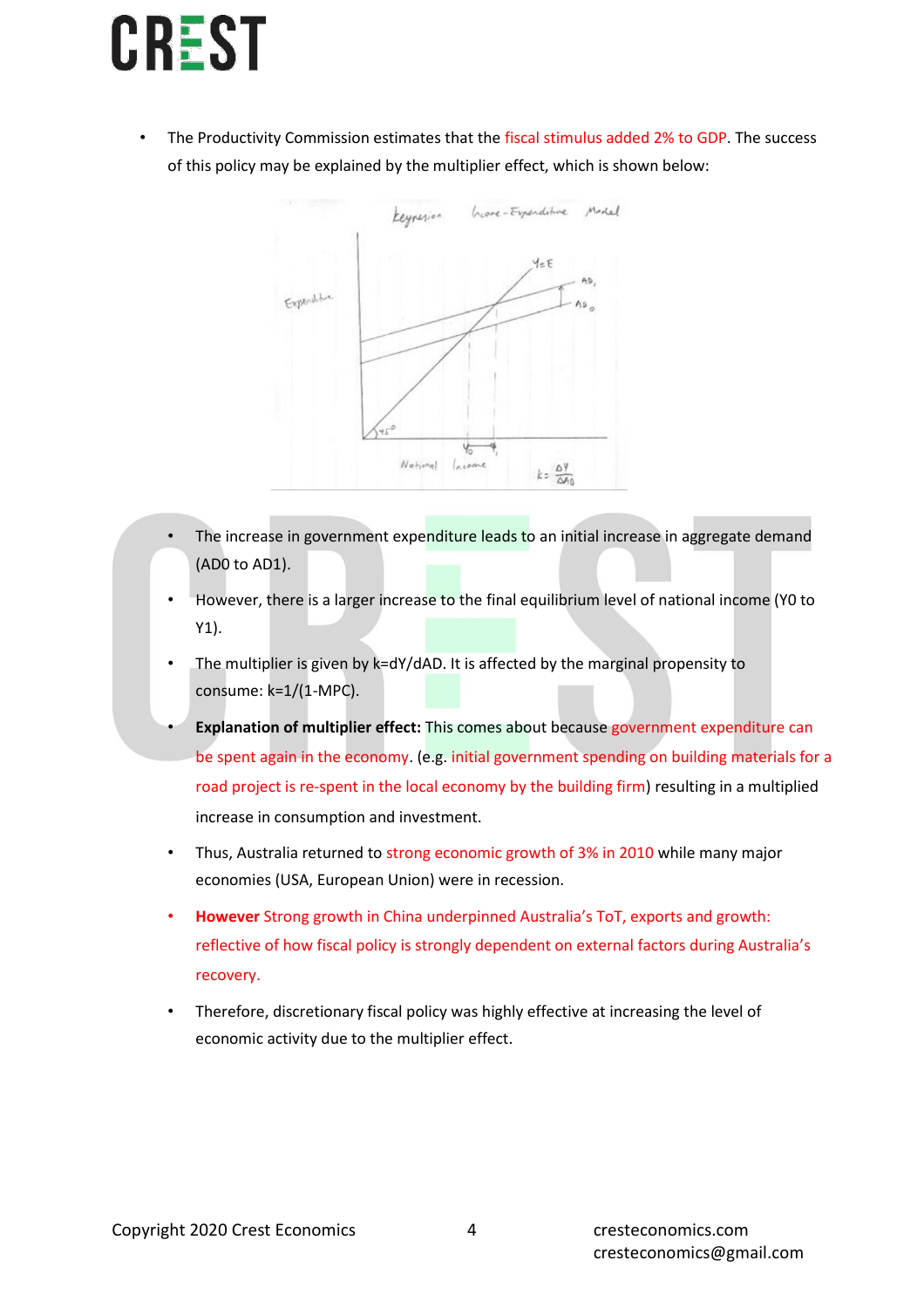

The Productivity Commission estimates that the fiscal stimulus added 2% to GDP. The success of this policy may be explained by the multiplier effect, which is shown below:



- The increase in government expenditure leads to an initial increase in aggregate demand (AD0 to AD1).
- However, there is a larger increase to the final equilibrium level of national income (Y0 to Y1).
- The multiplier is given by k=dY/dAD. It is affected by the marginal propensity to consume: k=1/(1-MPC).
- **Explanation of multiplier effect:** This comes about because government expenditure can be spent again in the economy. (e.g. initial government spending on building materials for a road project is re-spent in the local economy by the building firm) resulting in a multiplied increase in consumption and investment.
- Thus, Australia returned to strong economic growth of 3% in 2010 while many major economies (USA, European Union) were in recession.
- **However** Strong growth in China underpinned Australia's ToT, exports and growth: reflective of how fiscal policy is strongly dependent on external factors during Australia's recovery.
- Therefore, discretionary fiscal policy was highly effective at increasing the level of economic activity due to the multiplier effect.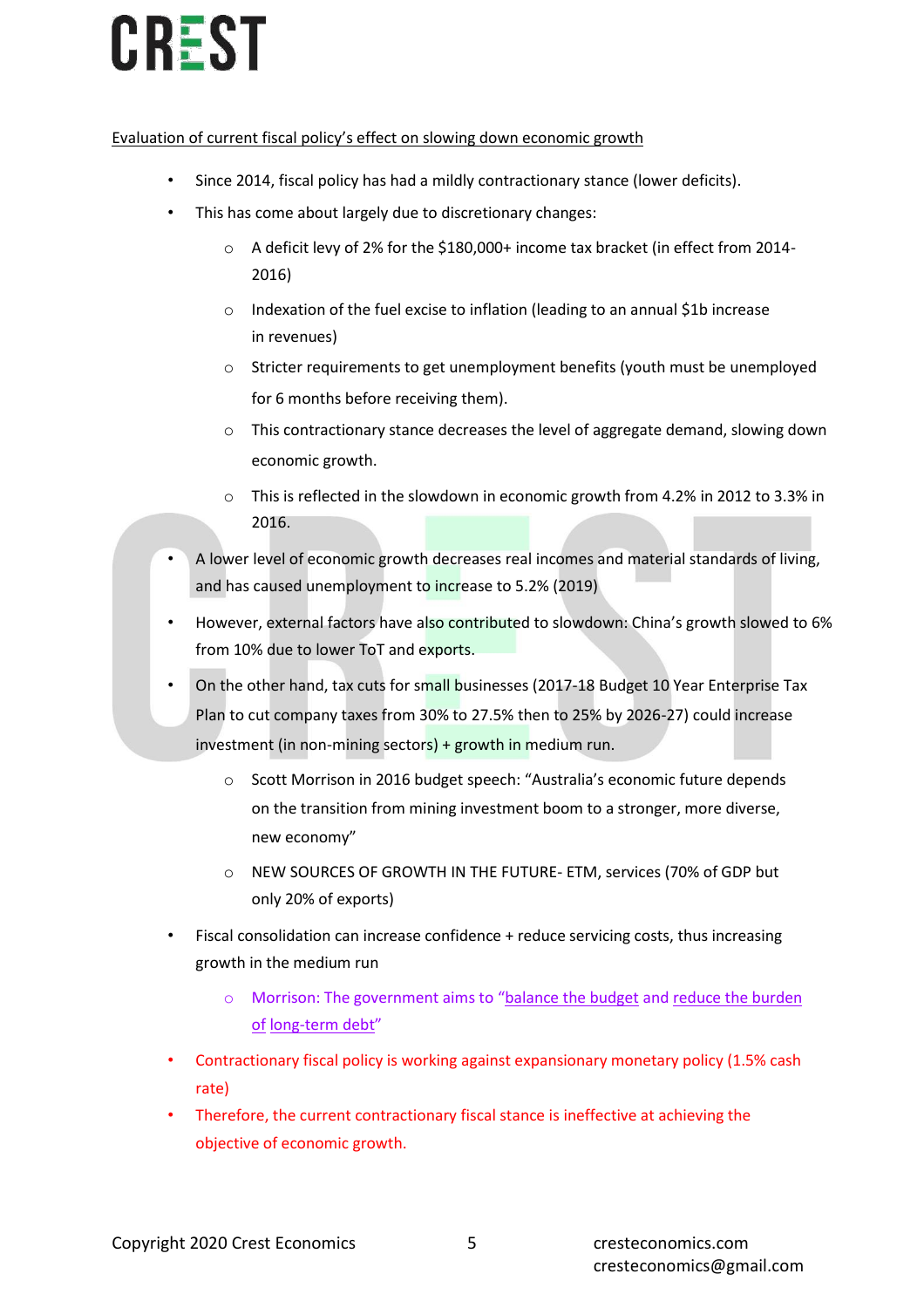### Evaluation of current fiscal policy's effect on slowing down economic growth

- Since 2014, fiscal policy has had a mildly contractionary stance (lower deficits).
- This has come about largely due to discretionary changes:
	- o A deficit levy of 2% for the \$180,000+ income tax bracket (in effect from 2014- 2016)
	- o Indexation of the fuel excise to inflation (leading to an annual \$1b increase in revenues)
	- o Stricter requirements to get unemployment benefits (youth must be unemployed for 6 months before receiving them).
	- $\circ$  This contractionary stance decreases the level of aggregate demand, slowing down economic growth.
	- o This is reflected in the slowdown in economic growth from 4.2% in 2012 to 3.3% in 2016.
- A lower level of economic growth decreases real incomes and material standards of living, and has caused unemployment to increase to 5.2% (2019)
- However, external factors have also contributed to slowdown: China's growth slowed to 6% from 10% due to lower ToT and exports.
- On the other hand, tax cuts for small businesses (2017-18 Budget 10 Year Enterprise Tax Plan to cut company taxes from 30% to 27.5% then to 25% by 2026-27) could increase investment (in non-mining sectors) + growth in medium run.
	- o Scott Morrison in 2016 budget speech: "Australia's economic future depends on the transition from mining investment boom to a stronger, more diverse, new economy"
	- o NEW SOURCES OF GROWTH IN THE FUTURE- ETM, services (70% of GDP but only 20% of exports)
- Fiscal consolidation can increase confidence + reduce servicing costs, thus increasing growth in the medium run
	- o Morrison: The government aims to "balance the budget and reduce the burden of long-term debt"
- Contractionary fiscal policy is working against expansionary monetary policy (1.5% cash rate)
- Therefore, the current contractionary fiscal stance is ineffective at achieving the objective of economic growth.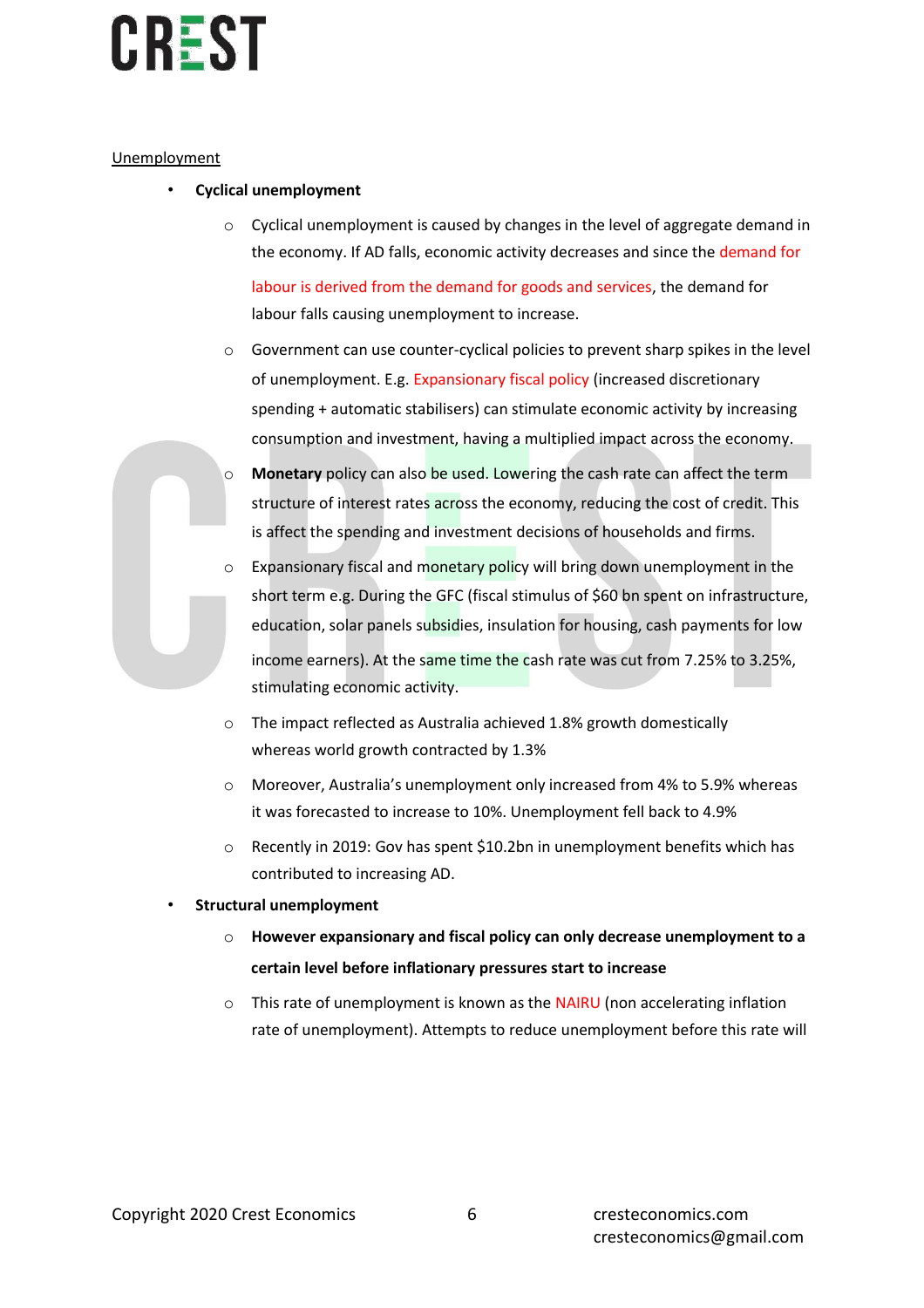### Unemployment

- **Cyclical unemployment**
	- Cyclical unemployment is caused by changes in the level of aggregate demand in the economy. If AD falls, economic activity decreases and since the demand for

labour is derived from the demand for goods and services, the demand for labour falls causing unemployment to increase.

- $\circ$  Government can use counter-cyclical policies to prevent sharp spikes in the level of unemployment. E.g. Expansionary fiscal policy (increased discretionary spending + automatic stabilisers) can stimulate economic activity by increasing consumption and investment, having a multiplied impact across the economy.
- o **Monetary** policy can also be used. Lowering the cash rate can affect the term structure of interest rates across the economy, reducing the cost of credit. This is affect the spending and investment decisions of households and firms.
- o Expansionary fiscal and monetary policy will bring down unemployment in the short term e.g. During the GFC (fiscal stimulus of \$60 bn spent on infrastructure, education, solar panels subsidies, insulation for housing, cash payments for low income earners). At the same time the cash rate was cut from 7.25% to 3.25%, stimulating economic activity.
- o The impact reflected as Australia achieved 1.8% growth domestically whereas world growth contracted by 1.3%
- o Moreover, Australia's unemployment only increased from 4% to 5.9% whereas it was forecasted to increase to 10%. Unemployment fell back to 4.9%
- $\circ$  Recently in 2019: Gov has spent \$10.2bn in unemployment benefits which has contributed to increasing AD.
- **Structural unemployment**
	- o **However expansionary and fiscal policy can only decrease unemployment to a certain level before inflationary pressures start to increase**
	- $\circ$  This rate of unemployment is known as the NAIRU (non accelerating inflation rate of unemployment). Attempts to reduce unemployment before this rate will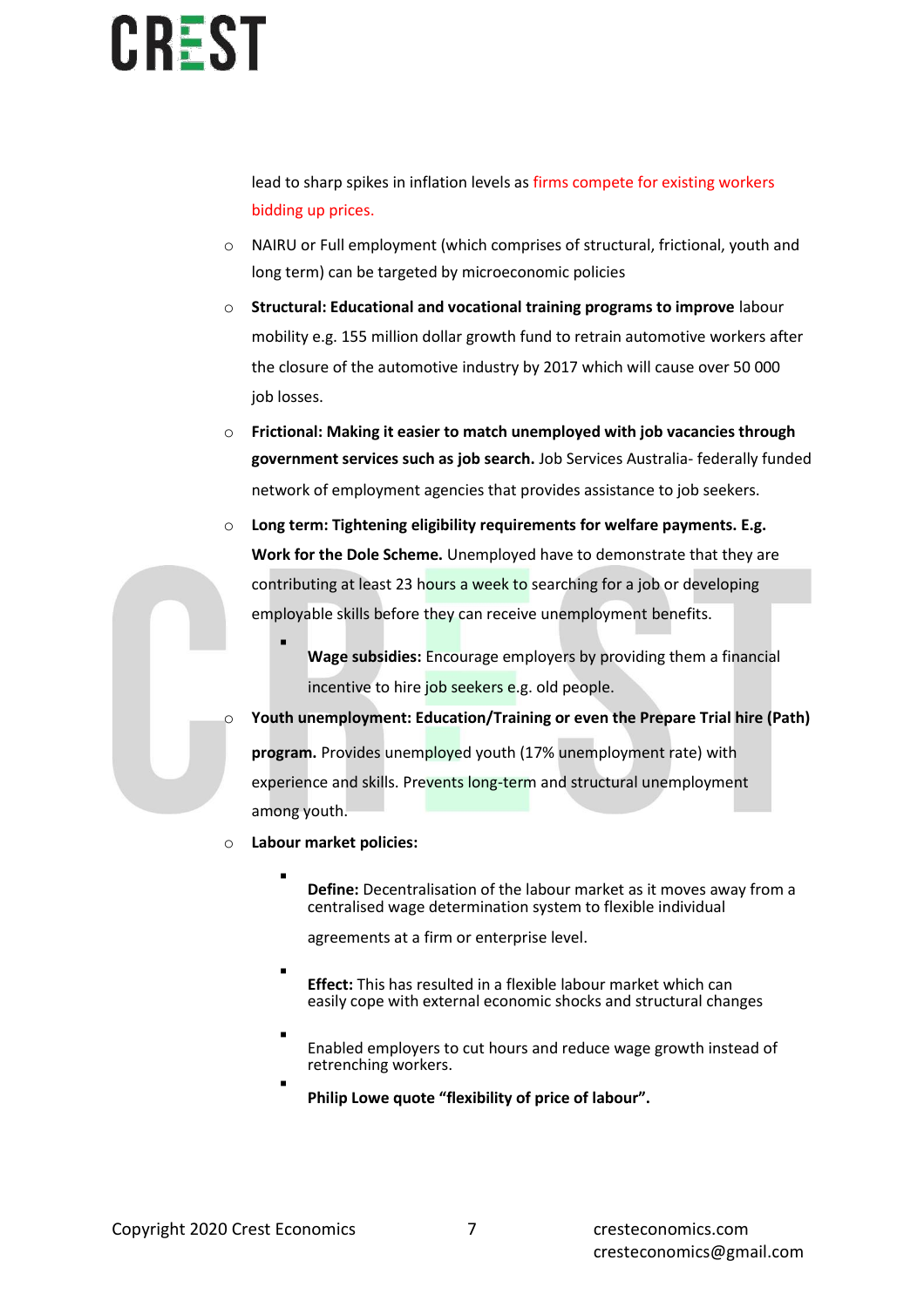lead to sharp spikes in inflation levels as firms compete for existing workers bidding up prices.

- o NAIRU or Full employment (which comprises of structural, frictional, youth and long term) can be targeted by microeconomic policies
- o **Structural: Educational and vocational training programs to improve** labour mobility e.g. 155 million dollar growth fund to retrain automotive workers after the closure of the automotive industry by 2017 which will cause over 50 000 job losses.
- o **Frictional: Making it easier to match unemployed with job vacancies through government services such as job search.** Job Services Australia- federally funded network of employment agencies that provides assistance to job seekers.
- o **Long term: Tightening eligibility requirements for welfare payments. E.g. Work for the Dole Scheme.** Unemployed have to demonstrate that they are contributing at least 23 hours a week to searching for a job or developing employable skills before they can receive unemployment benefits.
	- **Wage subsidies:** Encourage employers by providing them a financial incentive to hire job seekers e.g. old people.
	- Youth unemployment: Education/Training or even the Prepare Trial hire (Path) **program.** Provides unemployed youth (17% unemployment rate) with experience and skills. Prevents long-term and structural unemployment among youth.
- o **Labour market policies:**

▪

▪

**Define:** Decentralisation of the labour market as it moves away from a centralised wage determination system to flexible individual

agreements at a firm or enterprise level.

- **Effect:** This has resulted in a flexible labour market which can easily cope with external economic shocks and structural changes
- Enabled employers to cut hours and reduce wage growth instead of retrenching workers. ▪
	- **Philip Lowe quote "flexibility of price of labour".**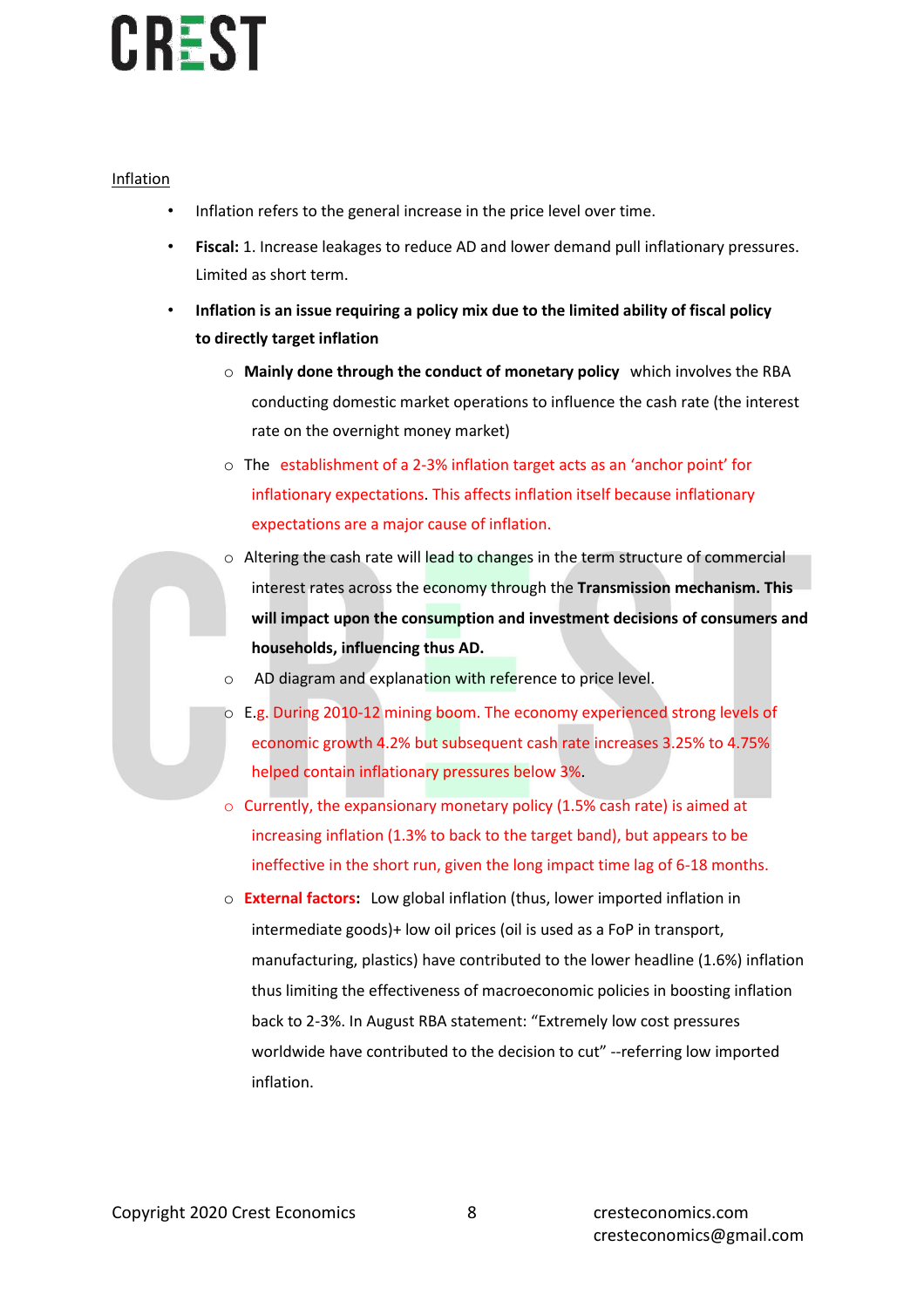### Inflation

- Inflation refers to the general increase in the price level over time.
- **Fiscal:** 1. Increase leakages to reduce AD and lower demand pull inflationary pressures. Limited as short term.
- **Inflation is an issue requiring a policy mix due to the limited ability of fiscal policy to directly target inflation**
	- o **Mainly done through the conduct of monetary policy** which involves the RBA conducting domestic market operations to influence the cash rate (the interest rate on the overnight money market)
	- o The establishment of a 2-3% inflation target acts as an 'anchor point' for inflationary expectations. This affects inflation itself because inflationary expectations are a major cause of inflation.
	- o Altering the cash rate will lead to changes in the term structure of commercial interest rates across the economy through the **Transmission mechanism. This will impact upon the consumption and investment decisions of consumers and households, influencing thus AD.**
	- AD diagram and explanation with reference to price level.
	- o E.g. During 2010-12 mining boom. The economy experienced strong levels of economic growth 4.2% but subsequent cash rate increases 3.25% to 4.75% helped contain inflationary pressures below 3%.
	- o Currently, the expansionary monetary policy (1.5% cash rate) is aimed at increasing inflation (1.3% to back to the target band), but appears to be ineffective in the short run, given the long impact time lag of 6-18 months.
	- o **External factors:** Low global inflation (thus, lower imported inflation in intermediate goods)+ low oil prices (oil is used as a FoP in transport, manufacturing, plastics) have contributed to the lower headline (1.6%) inflation thus limiting the effectiveness of macroeconomic policies in boosting inflation back to 2-3%. In August RBA statement: "Extremely low cost pressures worldwide have contributed to the decision to cut" --referring low imported inflation.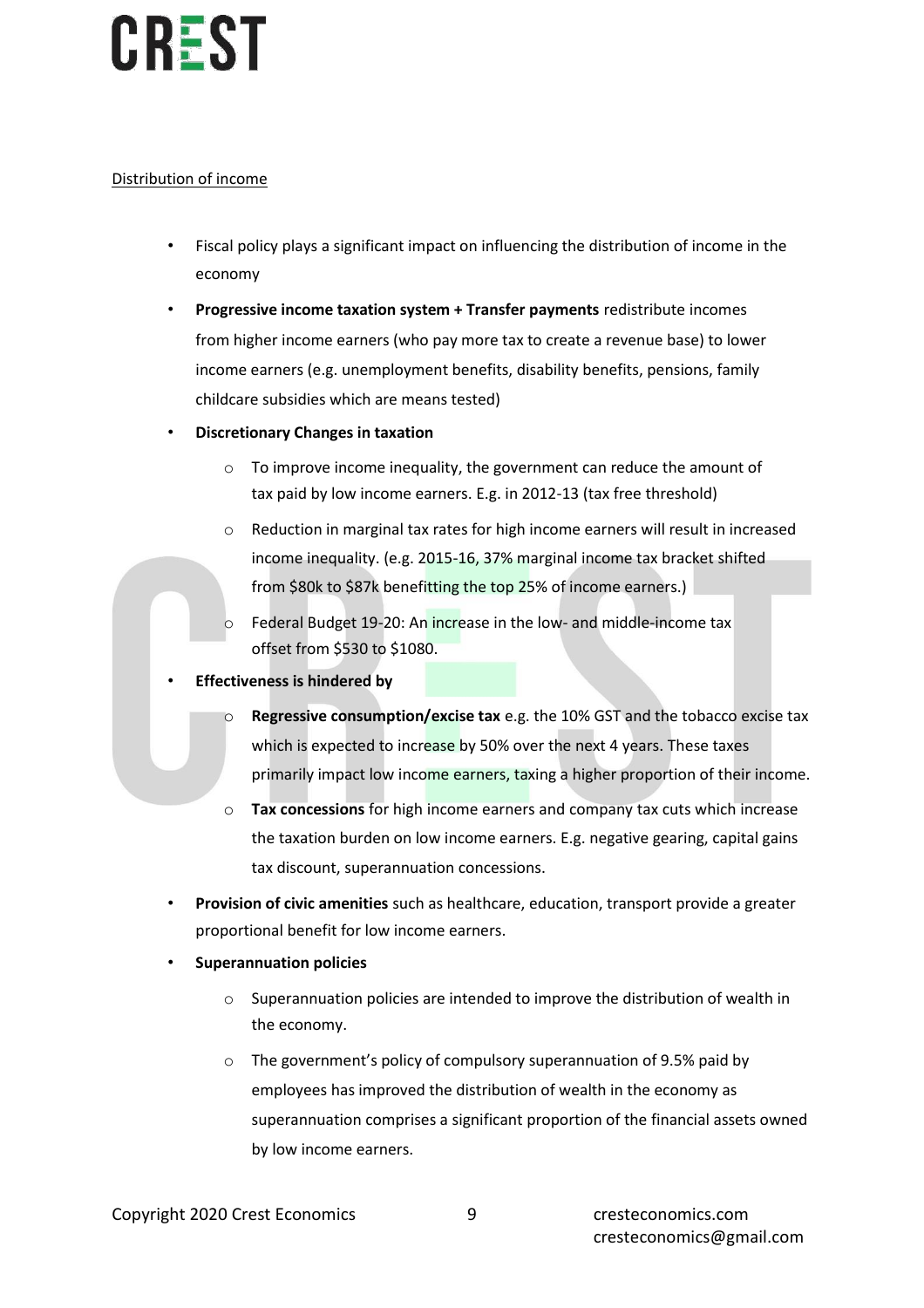### Distribution of income

- Fiscal policy plays a significant impact on influencing the distribution of income in the economy
- **Progressive income taxation system + Transfer payments** redistribute incomes from higher income earners (who pay more tax to create a revenue base) to lower income earners (e.g. unemployment benefits, disability benefits, pensions, family childcare subsidies which are means tested)
- **Discretionary Changes in taxation**
	- o To improve income inequality, the government can reduce the amount of tax paid by low income earners. E.g. in 2012-13 (tax free threshold)
	- o Reduction in marginal tax rates for high income earners will result in increased income inequality. (e.g. 2015-16, 37% marginal income tax bracket shifted from \$80k to \$87k benefitting the top 25% of income earners.)
	- Federal Budget 19-20: An increase in the low- and middle-income tax offset from \$530 to \$1080.
- **Effectiveness is hindered by**
	- o **Regressive consumption/excise tax** e.g. the 10% GST and the tobacco excise tax which is expected to increase by 50% over the next 4 years. These taxes primarily impact low income earners, taxing a higher proportion of their income.
	- o **Tax concessions** for high income earners and company tax cuts which increase the taxation burden on low income earners. E.g. negative gearing, capital gains tax discount, superannuation concessions.
- **Provision of civic amenities** such as healthcare, education, transport provide a greater proportional benefit for low income earners.
- **Superannuation policies**
	- $\circ$  Superannuation policies are intended to improve the distribution of wealth in the economy.
	- o The government's policy of compulsory superannuation of 9.5% paid by employees has improved the distribution of wealth in the economy as superannuation comprises a significant proportion of the financial assets owned by low income earners.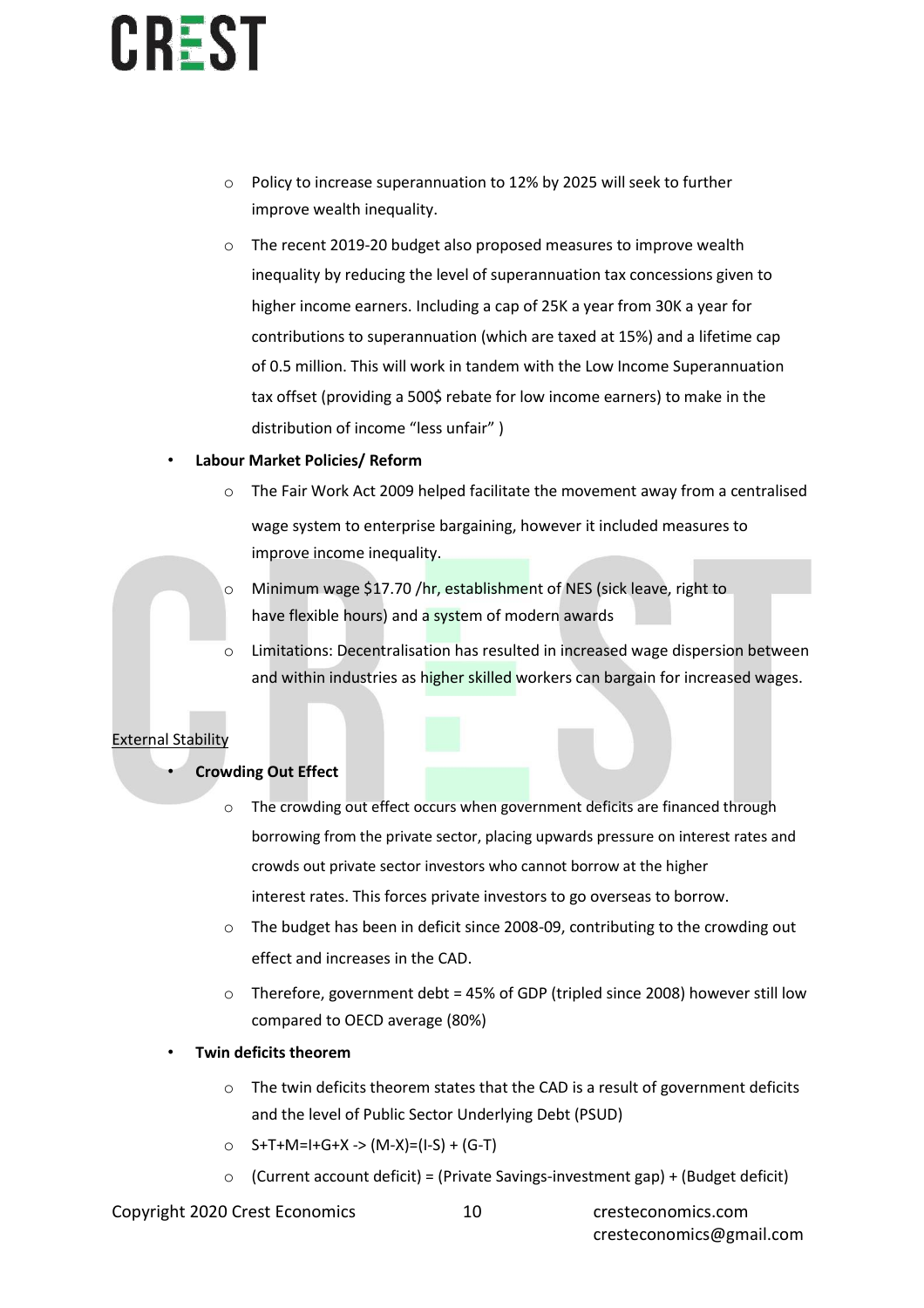- o Policy to increase superannuation to 12% by 2025 will seek to further improve wealth inequality.
- o The recent 2019-20 budget also proposed measures to improve wealth inequality by reducing the level of superannuation tax concessions given to higher income earners. Including a cap of 25K a year from 30K a year for contributions to superannuation (which are taxed at 15%) and a lifetime cap of 0.5 million. This will work in tandem with the Low Income Superannuation tax offset (providing a 500\$ rebate for low income earners) to make in the distribution of income "less unfair" )

### • **Labour Market Policies/ Reform**

- $\circ$  The Fair Work Act 2009 helped facilitate the movement away from a centralised wage system to enterprise bargaining, however it included measures to improve income inequality.
- o Minimum wage \$17.70 /hr, establishment of NES (sick leave, right to have flexible hours) and a system of modern awards
- o Limitations: Decentralisation has resulted in increased wage dispersion between and within industries as higher skilled workers can bargain for increased wages.

### External Stability

### • **Crowding Out Effect**

- o The crowding out effect occurs when government deficits are financed through borrowing from the private sector, placing upwards pressure on interest rates and crowds out private sector investors who cannot borrow at the higher interest rates. This forces private investors to go overseas to borrow.
- o The budget has been in deficit since 2008-09, contributing to the crowding out effect and increases in the CAD.
- o Therefore, government debt = 45% of GDP (tripled since 2008) however still low compared to OECD average (80%)
- **Twin deficits theorem**
	- o The twin deficits theorem states that the CAD is a result of government deficits and the level of Public Sector Underlying Debt (PSUD)
	- o S+T+M=I+G+X -> (M-X)=(I-S) + (G-T)
	- $\circ$  (Current account deficit) = (Private Savings-investment gap) + (Budget deficit)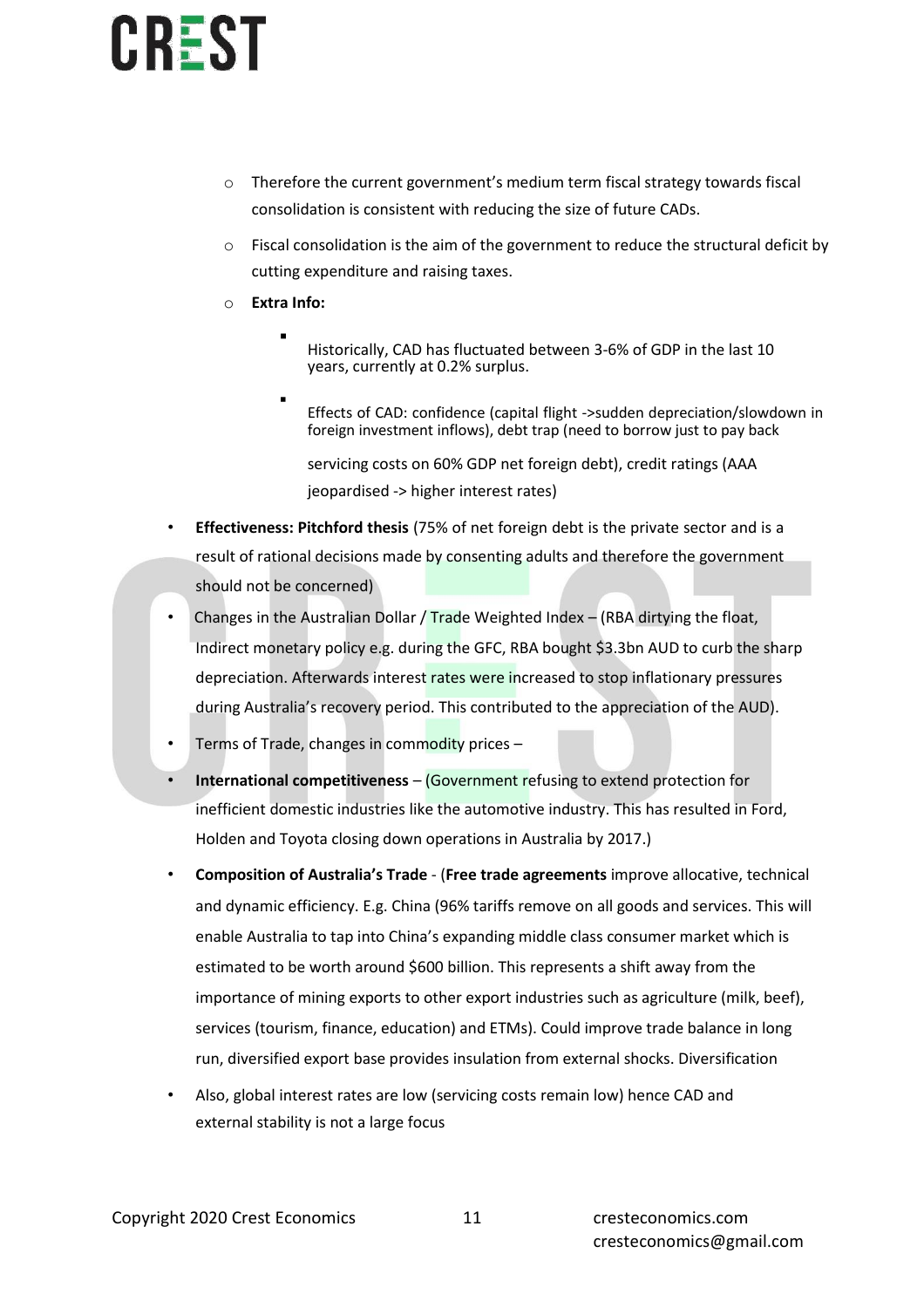- $\circ$  Therefore the current government's medium term fiscal strategy towards fiscal consolidation is consistent with reducing the size of future CADs.
- $\circ$  Fiscal consolidation is the aim of the government to reduce the structural deficit by cutting expenditure and raising taxes.
- o **Extra Info:**

▪

- Historically, CAD has fluctuated between 3-6% of GDP in the last 10 years, currently at 0.2% surplus.
- Effects of CAD: confidence (capital flight ->sudden depreciation/slowdown in foreign investment inflows), debt trap (need to borrow just to pay back

servicing costs on 60% GDP net foreign debt), credit ratings (AAA jeopardised -> higher interest rates)

- **Effectiveness: Pitchford thesis** (75% of net foreign debt is the private sector and is a result of rational decisions made by consenting adults and therefore the government should not be concerned)
- Changes in the Australian Dollar / Trade Weighted Index (RBA dirtying the float, Indirect monetary policy e.g. during the GFC, RBA bought \$3.3bn AUD to curb the sharp depreciation. Afterwards interest rates were increased to stop inflationary pressures during Australia's recovery period. This contributed to the appreciation of the AUD).
- Terms of Trade, changes in commodity prices –
- **International competitiveness**  (Government refusing to extend protection for inefficient domestic industries like the automotive industry. This has resulted in Ford, Holden and Toyota closing down operations in Australia by 2017.)
- **Composition of Australia's Trade**  (**Free trade agreements** improve allocative, technical and dynamic efficiency. E.g. China (96% tariffs remove on all goods and services. This will enable Australia to tap into China's expanding middle class consumer market which is estimated to be worth around \$600 billion. This represents a shift away from the importance of mining exports to other export industries such as agriculture (milk, beef), services (tourism, finance, education) and ETMs). Could improve trade balance in long run, diversified export base provides insulation from external shocks. Diversification
- Also, global interest rates are low (servicing costs remain low) hence CAD and external stability is not a large focus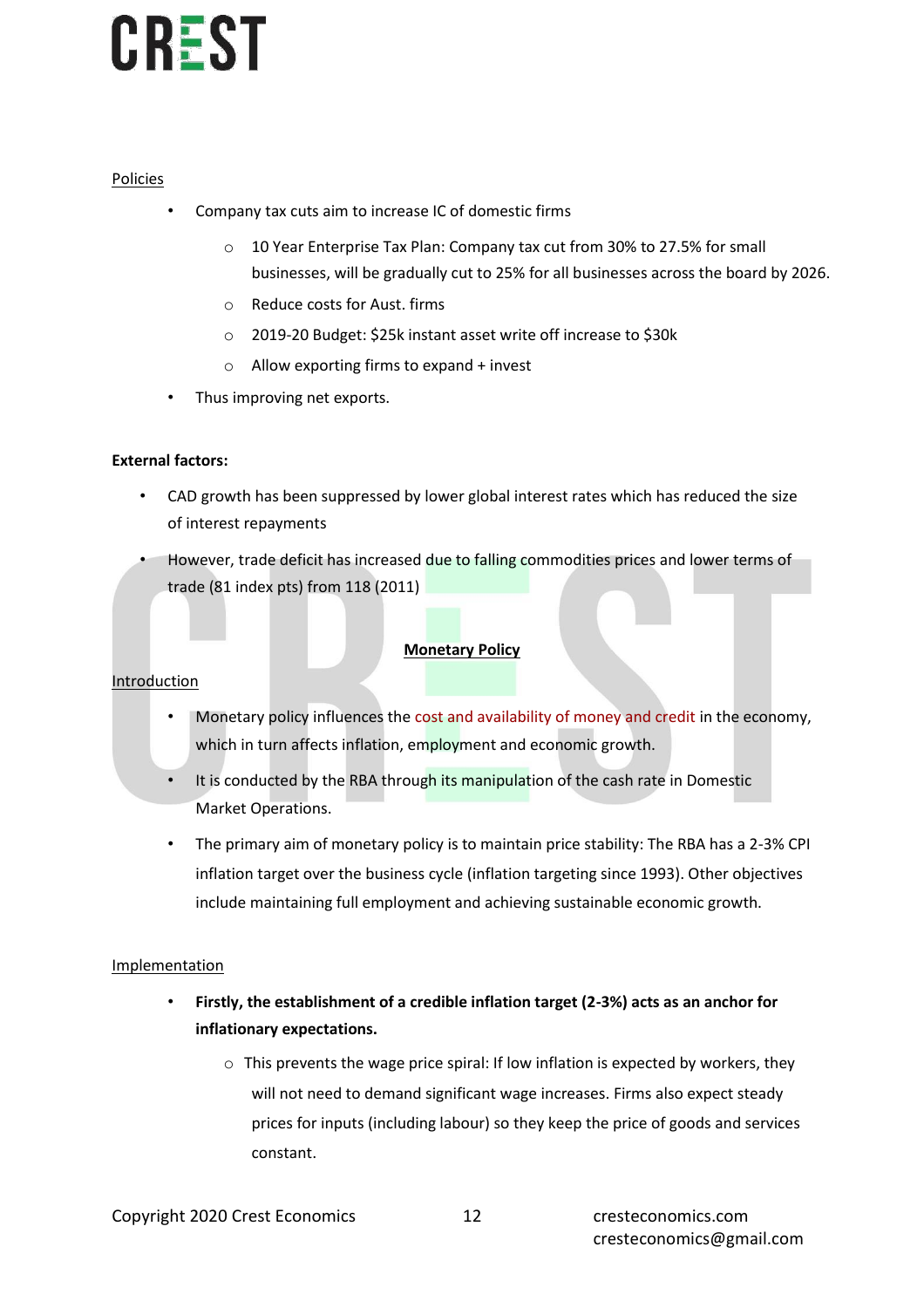### Policies

- Company tax cuts aim to increase IC of domestic firms
	- o 10 Year Enterprise Tax Plan: Company tax cut from 30% to 27.5% for small businesses, will be gradually cut to 25% for all businesses across the board by 2026.
	- o Reduce costs for Aust. firms
	- o 2019-20 Budget: \$25k instant asset write off increase to \$30k
	- $\circ$  Allow exporting firms to expand + invest
- Thus improving net exports.

### **External factors:**

- CAD growth has been suppressed by lower global interest rates which has reduced the size of interest repayments
- However, trade deficit has increased due to falling commodities prices and lower terms of trade (81 index pts) from 118 (2011)

### **Monetary Policy**

#### Introduction

- Monetary policy influences the cost and availability of money and credit in the economy, which in turn affects inflation, employment and economic growth.
- It is conducted by the RBA through its manipulation of the cash rate in Domestic Market Operations.
- The primary aim of monetary policy is to maintain price stability: The RBA has a 2-3% CPI inflation target over the business cycle (inflation targeting since 1993). Other objectives include maintaining full employment and achieving sustainable economic growth.

#### Implementation

- **Firstly, the establishment of a credible inflation target (2-3%) acts as an anchor for inflationary expectations.**
	- $\circ$  This prevents the wage price spiral: If low inflation is expected by workers, they will not need to demand significant wage increases. Firms also expect steady prices for inputs (including labour) so they keep the price of goods and services constant.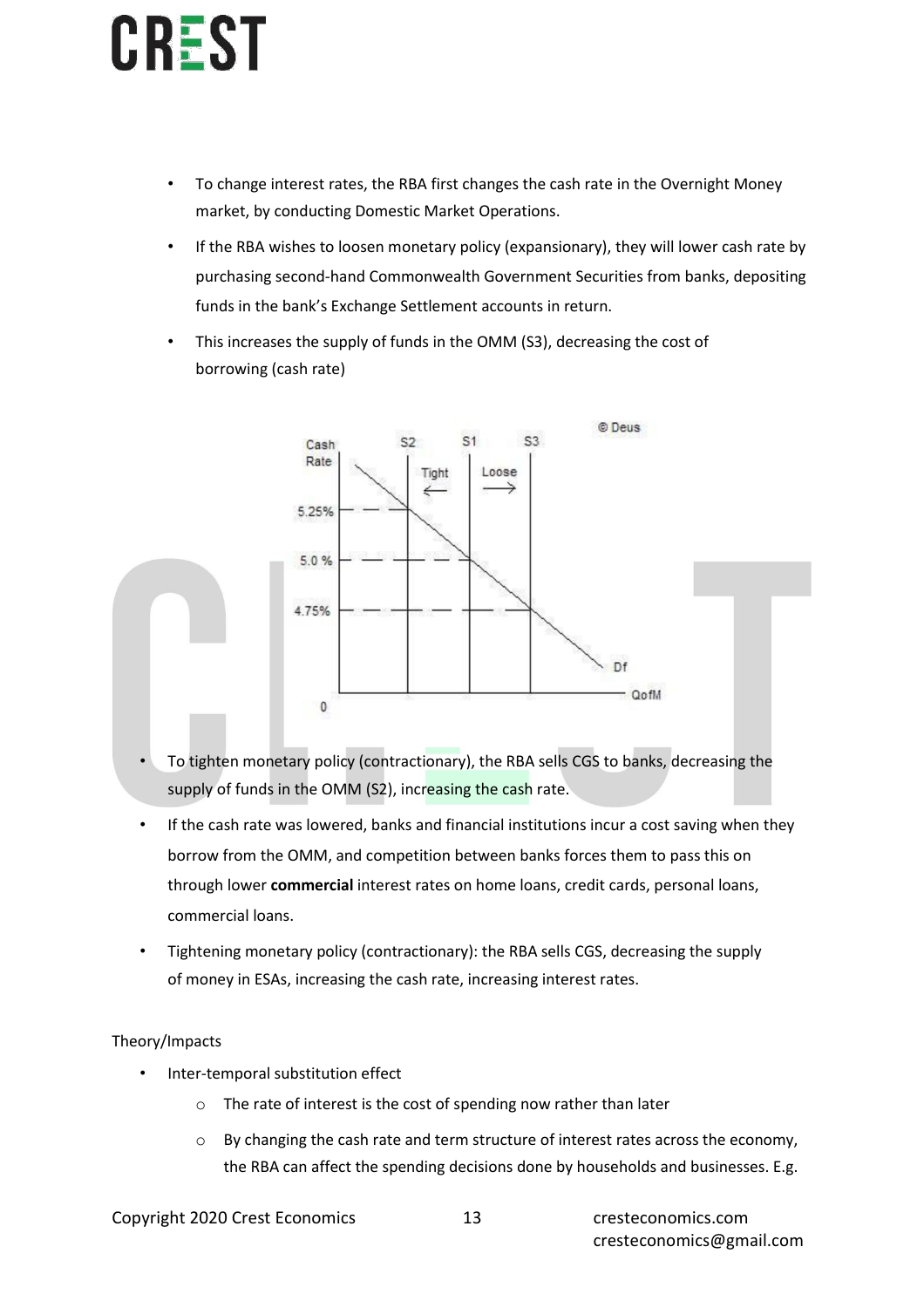- To change interest rates, the RBA first changes the cash rate in the Overnight Money market, by conducting Domestic Market Operations.
- If the RBA wishes to loosen monetary policy (expansionary), they will lower cash rate by purchasing second-hand Commonwealth Government Securities from banks, depositing funds in the bank's Exchange Settlement accounts in return.
- This increases the supply of funds in the OMM (S3), decreasing the cost of borrowing (cash rate)



- To tighten monetary policy (contractionary), the RBA sells CGS to banks, decreasing the supply of funds in the OMM (S2), increasing the cash rate.
- If the cash rate was lowered, banks and financial institutions incur a cost saving when they borrow from the OMM, and competition between banks forces them to pass this on through lower **commercial** interest rates on home loans, credit cards, personal loans, commercial loans.
- Tightening monetary policy (contractionary): the RBA sells CGS, decreasing the supply of money in ESAs, increasing the cash rate, increasing interest rates.

### Theory/Impacts

- Inter-temporal substitution effect
	- o The rate of interest is the cost of spending now rather than later
	- $\circ$  By changing the cash rate and term structure of interest rates across the economy, the RBA can affect the spending decisions done by households and businesses. E.g.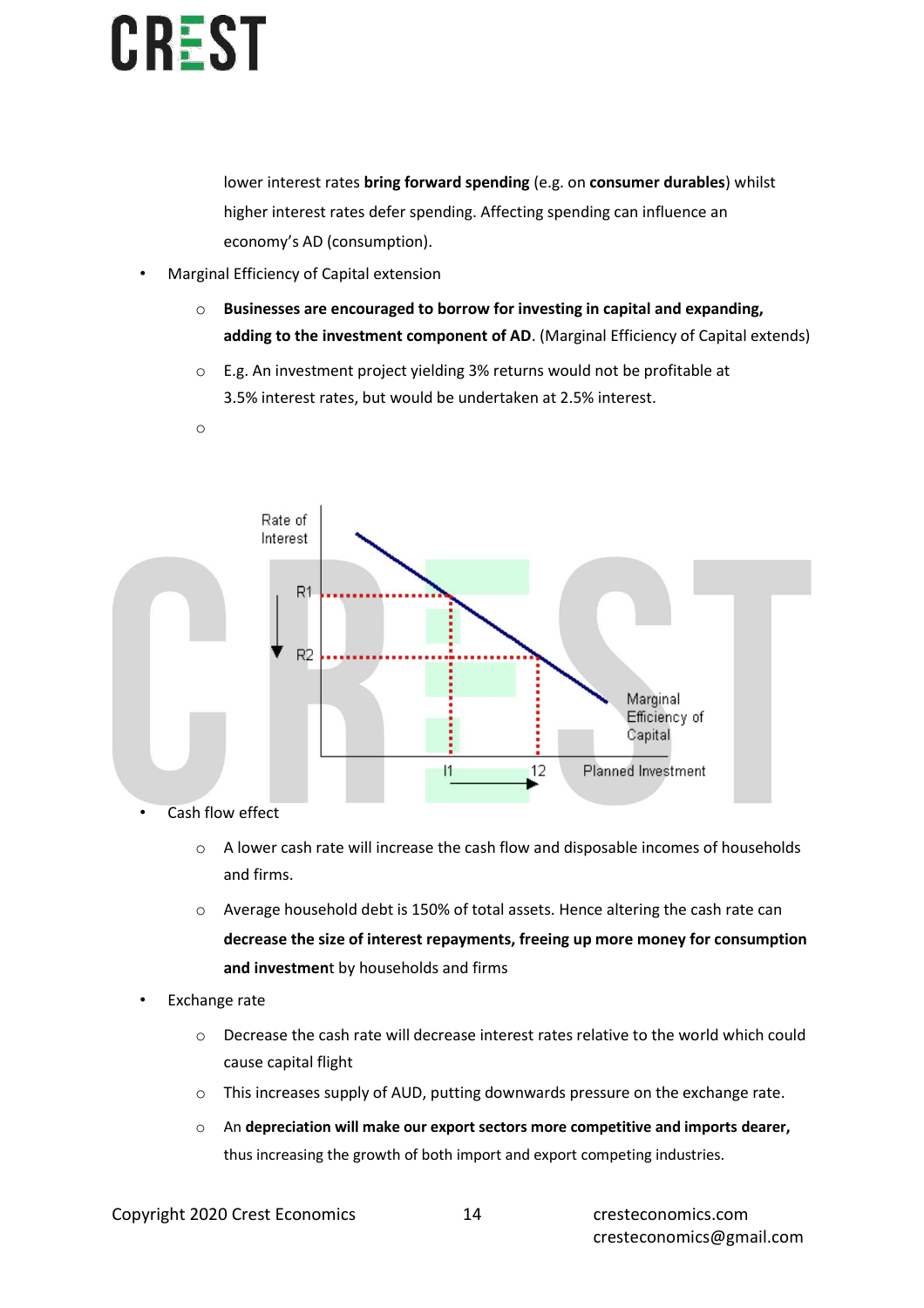o

lower interest rates **bring forward spending** (e.g. on **consumer durables**) whilst higher interest rates defer spending. Affecting spending can influence an economy's AD (consumption).

- Marginal Efficiency of Capital extension
	- o **Businesses are encouraged to borrow for investing in capital and expanding, adding to the investment component of AD**. (Marginal Efficiency of Capital extends)
	- o E.g. An investment project yielding 3% returns would not be profitable at 3.5% interest rates, but would be undertaken at 2.5% interest.



- Cash flow effect
	- $\circ$  A lower cash rate will increase the cash flow and disposable incomes of households and firms.
	- o Average household debt is 150% of total assets. Hence altering the cash rate can **decrease the size of interest repayments, freeing up more money for consumption and investmen**t by households and firms
- Exchange rate
	- o Decrease the cash rate will decrease interest rates relative to the world which could cause capital flight
	- o This increases supply of AUD, putting downwards pressure on the exchange rate.
	- o An **depreciation will make our export sectors more competitive and imports dearer,**  thus increasing the growth of both import and export competing industries.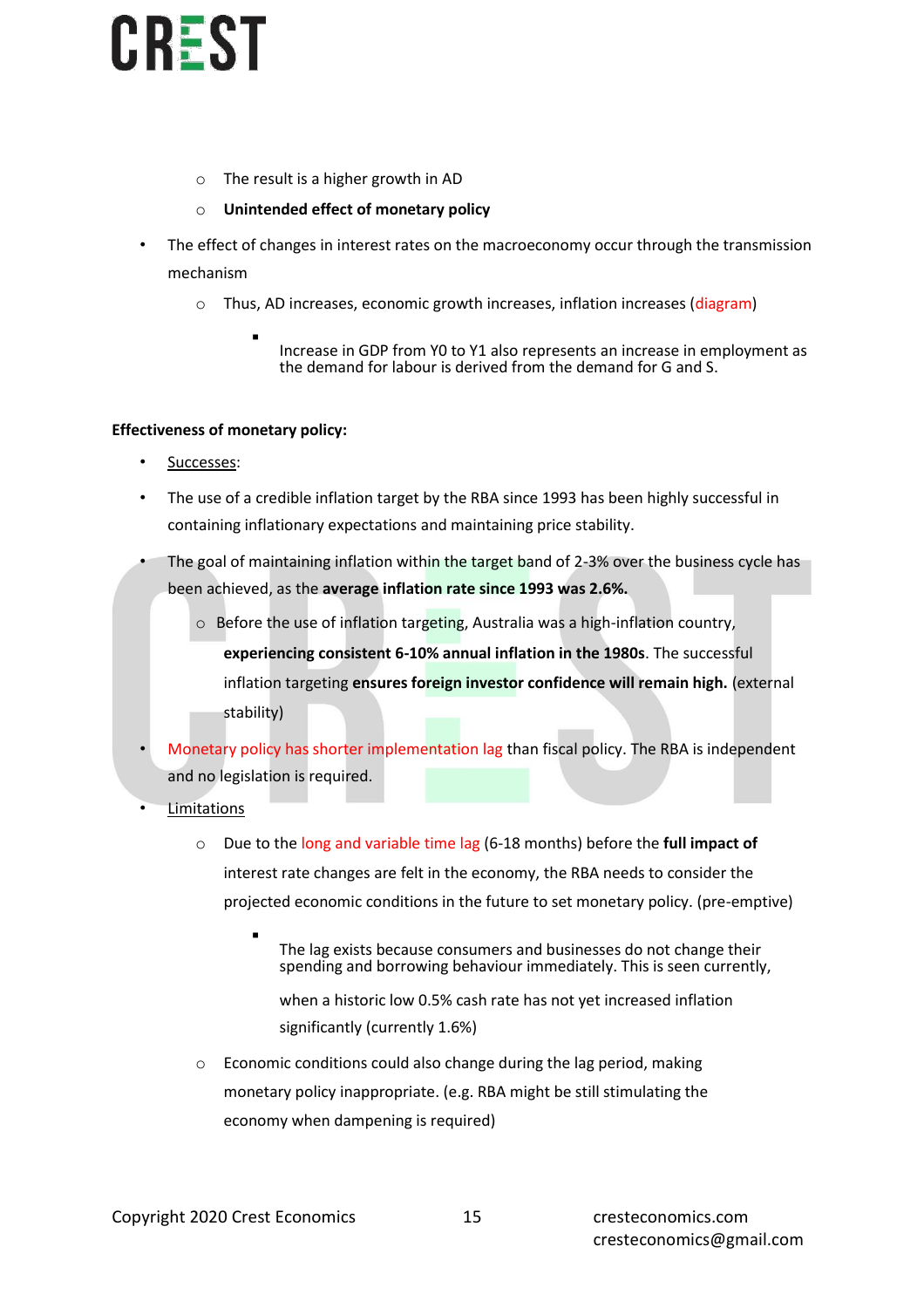- o The result is a higher growth in AD
- o **Unintended effect of monetary policy**
- The effect of changes in interest rates on the macroeconomy occur through the transmission mechanism
	- o Thus, AD increases, economic growth increases, inflation increases (diagram)
		- Increase in GDP from Y0 to Y1 also represents an increase in employment as the demand for labour is derived from the demand for G and S.

### **Effectiveness of monetary policy:**

- Successes:
- The use of a credible inflation target by the RBA since 1993 has been highly successful in containing inflationary expectations and maintaining price stability.
- The goal of maintaining inflation within the target band of 2-3% over the business cycle has been achieved, as the **average inflation rate since 1993 was 2.6%.**
	- $\circ$  Before the use of inflation targeting, Australia was a high-inflation country, **experiencing consistent 6-10% annual inflation in the 1980s**. The successful inflation targeting **ensures foreign investor confidence will remain high.** (external stability)
- Monetary policy has shorter implementation lag than fiscal policy. The RBA is independent and no legislation is required.
- **Limitations** 
	- o Due to the long and variable time lag (6-18 months) before the **full impact of** interest rate changes are felt in the economy, the RBA needs to consider the projected economic conditions in the future to set monetary policy. (pre-emptive)
		- The lag exists because consumers and businesses do not change their spending and borrowing behaviour immediately. This is seen currently,
			- when a historic low 0.5% cash rate has not yet increased inflation significantly (currently 1.6%)
	- o Economic conditions could also change during the lag period, making monetary policy inappropriate. (e.g. RBA might be still stimulating the economy when dampening is required)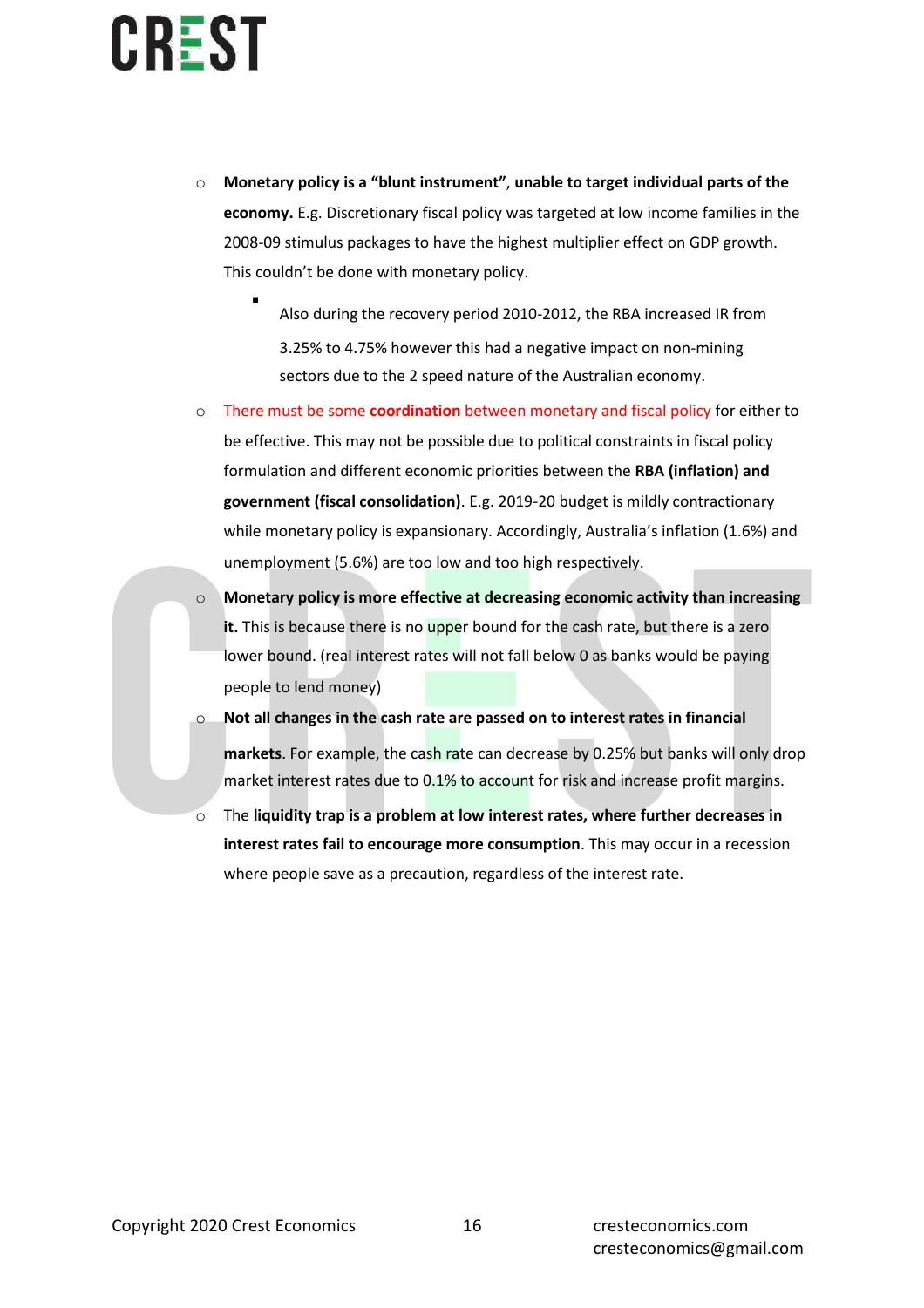- o **Monetary policy is a "blunt instrument"**, **unable to target individual parts of the economy.** E.g. Discretionary fiscal policy was targeted at low income families in the 2008-09 stimulus packages to have the highest multiplier effect on GDP growth. This couldn't be done with monetary policy.
	- Also during the recovery period 2010-2012, the RBA increased IR from 3.25% to 4.75% however this had a negative impact on non-mining sectors due to the 2 speed nature of the Australian economy.
- o There must be some **coordination** between monetary and fiscal policy for either to be effective. This may not be possible due to political constraints in fiscal policy formulation and different economic priorities between the **RBA (inflation) and government (fiscal consolidation)**. E.g. 2019-20 budget is mildly contractionary while monetary policy is expansionary. Accordingly, Australia's inflation (1.6%) and unemployment (5.6%) are too low and too high respectively.
- o **Monetary policy is more effective at decreasing economic activity than increasing**  it. This is because there is no upper bound for the cash rate, but there is a zero lower bound. (real interest rates will not fall below 0 as banks would be paying people to lend money)
- Not all changes in the cash rate are passed on to interest rates in financial **markets**. For example, the cash rate can decrease by 0.25% but banks will only drop market interest rates due to 0.1% to account for risk and increase profit margins.
- o The **liquidity trap is a problem at low interest rates, where further decreases in interest rates fail to encourage more consumption**. This may occur in a recession where people save as a precaution, regardless of the interest rate.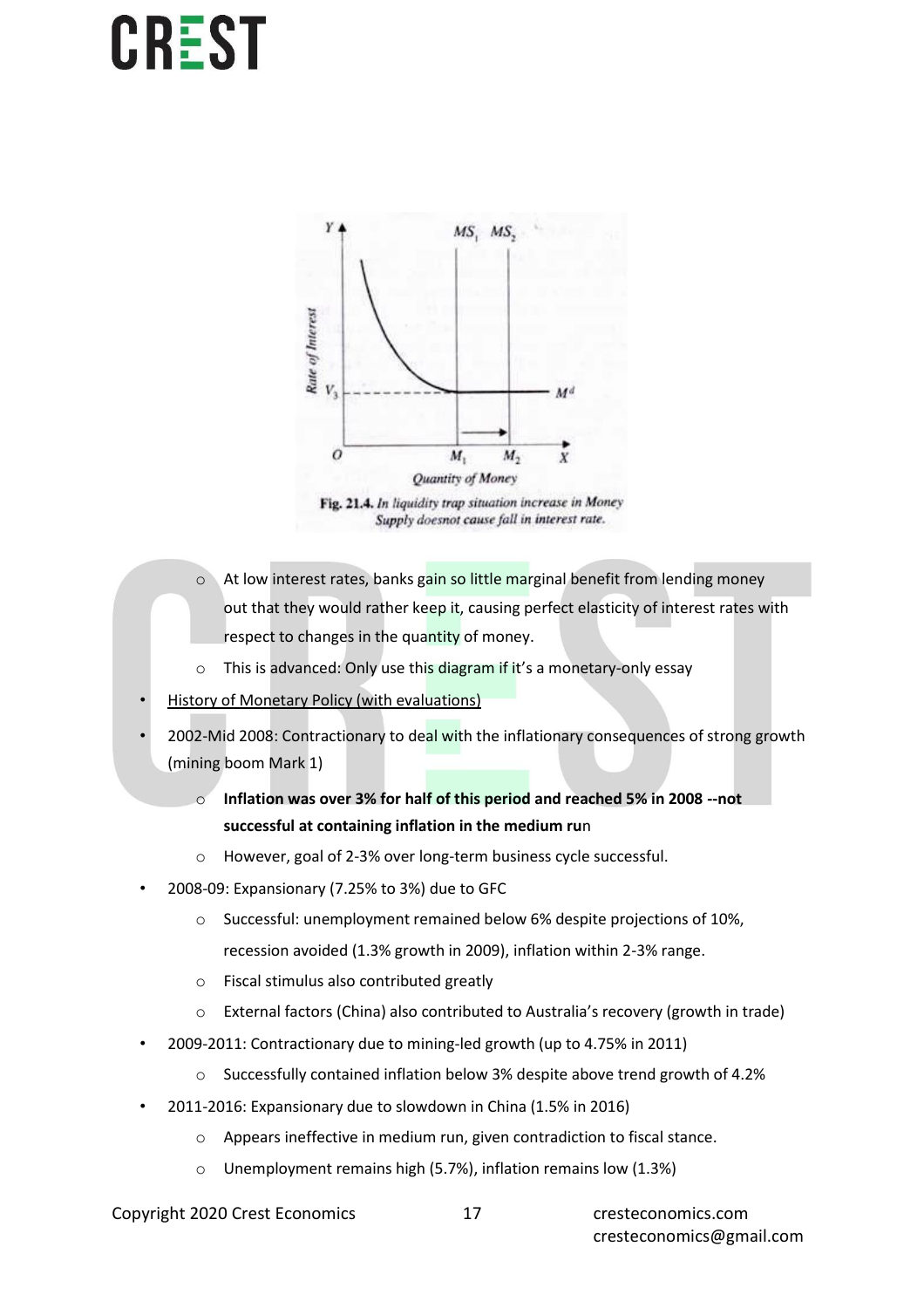

Fig. 21.4. In liquidity trap situation increase in Money Supply doesnot cause fall in interest rate.

- o At low interest rates, banks gain so little marginal benefit from lending money out that they would rather keep it, causing perfect elasticity of interest rates with respect to changes in the quantity of money.
- o This is advanced: Only use this diagram if it's a monetary-only essay
- **History of Monetary Policy (with evaluations)**
- 2002-Mid 2008: Contractionary to deal with the inflationary consequences of strong growth (mining boom Mark 1)
	- o **Inflation was over 3% for half of this period and reached 5% in 2008 --not successful at containing inflation in the medium ru**n
	- o However, goal of 2-3% over long-term business cycle successful.
- 2008-09: Expansionary (7.25% to 3%) due to GFC
	- o Successful: unemployment remained below 6% despite projections of 10%,
		- recession avoided (1.3% growth in 2009), inflation within 2-3% range.
	- o Fiscal stimulus also contributed greatly
	- o External factors (China) also contributed to Australia's recovery (growth in trade)
- 2009-2011: Contractionary due to mining-led growth (up to 4.75% in 2011)
	- o Successfully contained inflation below 3% despite above trend growth of 4.2%
- 2011-2016: Expansionary due to slowdown in China (1.5% in 2016)
	- o Appears ineffective in medium run, given contradiction to fiscal stance.
	- o Unemployment remains high (5.7%), inflation remains low (1.3%)